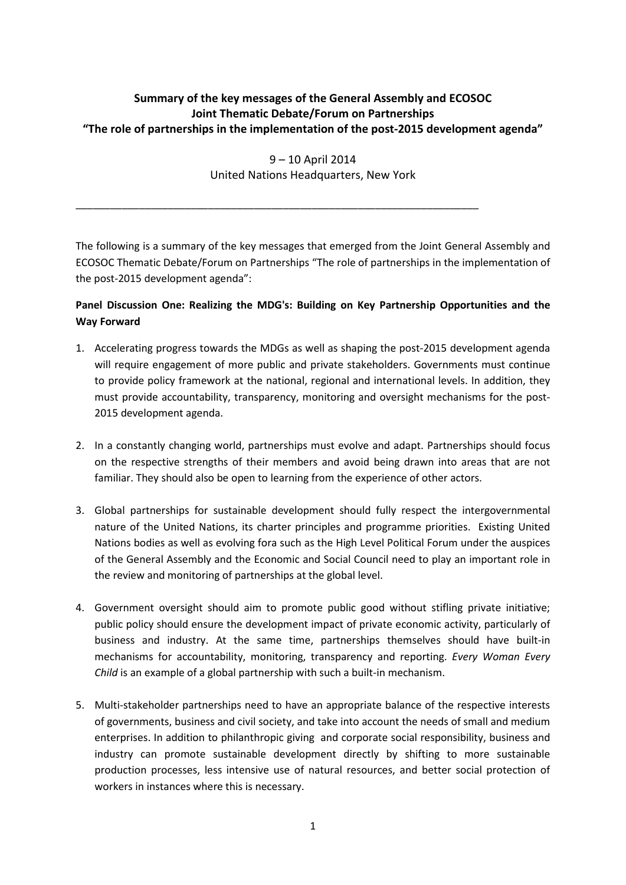# **Summary of the key messages of the General Assembly and ECOSOC Joint Thematic Debate/Forum on Partnerships "The role of partnerships in the implementation of the post-2015 development agenda"**

9 – 10 April 2014 United Nations Headquarters, New York

\_\_\_\_\_\_\_\_\_\_\_\_\_\_\_\_\_\_\_\_\_\_\_\_\_\_\_\_\_\_\_\_\_\_\_\_\_\_\_\_\_\_\_\_\_\_\_\_\_\_\_\_\_\_\_\_\_\_\_\_\_\_\_\_\_\_\_\_\_\_

The following is a summary of the key messages that emerged from the Joint General Assembly and ECOSOC Thematic Debate/Forum on Partnerships "The role of partnerships in the implementation of the post-2015 development agenda":

# **Panel Discussion One: Realizing the MDG's: Building on Key Partnership Opportunities and the Way Forward**

- 1. Accelerating progress towards the MDGs as well as shaping the post-2015 development agenda will require engagement of more public and private stakeholders. Governments must continue to provide policy framework at the national, regional and international levels. In addition, they must provide accountability, transparency, monitoring and oversight mechanisms for the post-2015 development agenda.
- 2. In a constantly changing world, partnerships must evolve and adapt. Partnerships should focus on the respective strengths of their members and avoid being drawn into areas that are not familiar. They should also be open to learning from the experience of other actors.
- 3. Global partnerships for sustainable development should fully respect the intergovernmental nature of the United Nations, its charter principles and programme priorities. Existing United Nations bodies as well as evolving fora such as the High Level Political Forum under the auspices of the General Assembly and the Economic and Social Council need to play an important role in the review and monitoring of partnerships at the global level.
- 4. Government oversight should aim to promote public good without stifling private initiative; public policy should ensure the development impact of private economic activity, particularly of business and industry. At the same time, partnerships themselves should have built-in mechanisms for accountability, monitoring, transparency and reporting. *Every Woman Every Child* is an example of a global partnership with such a built-in mechanism.
- 5. Multi-stakeholder partnerships need to have an appropriate balance of the respective interests of governments, business and civil society, and take into account the needs of small and medium enterprises. In addition to philanthropic giving and corporate social responsibility, business and industry can promote sustainable development directly by shifting to more sustainable production processes, less intensive use of natural resources, and better social protection of workers in instances where this is necessary.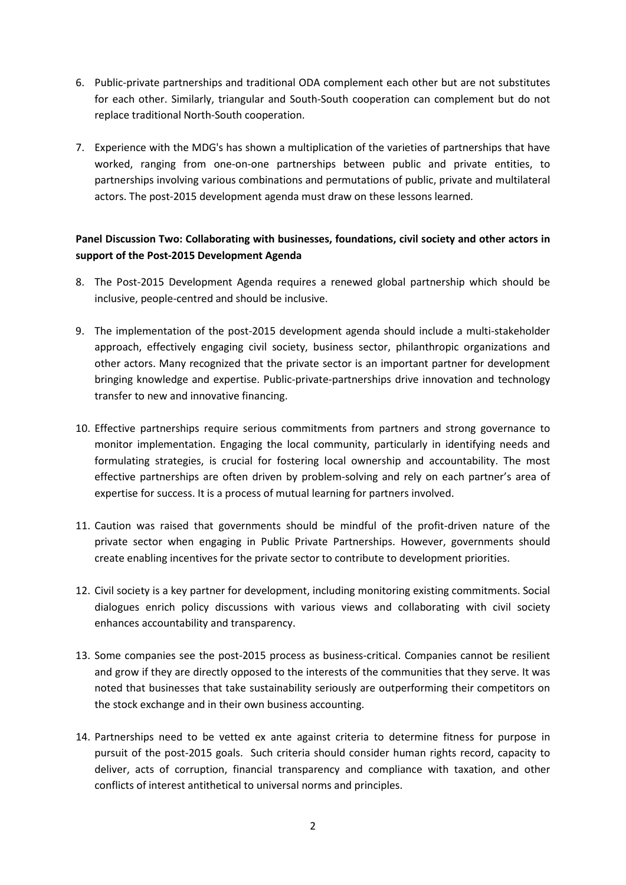- 6. Public-private partnerships and traditional ODA complement each other but are not substitutes for each other. Similarly, triangular and South-South cooperation can complement but do not replace traditional North-South cooperation.
- 7. Experience with the MDG's has shown a multiplication of the varieties of partnerships that have worked, ranging from one-on-one partnerships between public and private entities, to partnerships involving various combinations and permutations of public, private and multilateral actors. The post-2015 development agenda must draw on these lessons learned.

### **Panel Discussion Two: Collaborating with businesses, foundations, civil society and other actors in support of the Post-2015 Development Agenda**

- 8. The Post-2015 Development Agenda requires a renewed global partnership which should be inclusive, people-centred and should be inclusive.
- 9. The implementation of the post-2015 development agenda should include a multi-stakeholder approach, effectively engaging civil society, business sector, philanthropic organizations and other actors. Many recognized that the private sector is an important partner for development bringing knowledge and expertise. Public-private-partnerships drive innovation and technology transfer to new and innovative financing.
- 10. Effective partnerships require serious commitments from partners and strong governance to monitor implementation. Engaging the local community, particularly in identifying needs and formulating strategies, is crucial for fostering local ownership and accountability. The most effective partnerships are often driven by problem-solving and rely on each partner's area of expertise for success. It is a process of mutual learning for partners involved.
- 11. Caution was raised that governments should be mindful of the profit-driven nature of the private sector when engaging in Public Private Partnerships. However, governments should create enabling incentives for the private sector to contribute to development priorities.
- 12. Civil society is a key partner for development, including monitoring existing commitments. Social dialogues enrich policy discussions with various views and collaborating with civil society enhances accountability and transparency.
- 13. Some companies see the post-2015 process as business-critical. Companies cannot be resilient and grow if they are directly opposed to the interests of the communities that they serve. It was noted that businesses that take sustainability seriously are outperforming their competitors on the stock exchange and in their own business accounting.
- 14. Partnerships need to be vetted ex ante against criteria to determine fitness for purpose in pursuit of the post-2015 goals. Such criteria should consider human rights record, capacity to deliver, acts of corruption, financial transparency and compliance with taxation, and other conflicts of interest antithetical to universal norms and principles.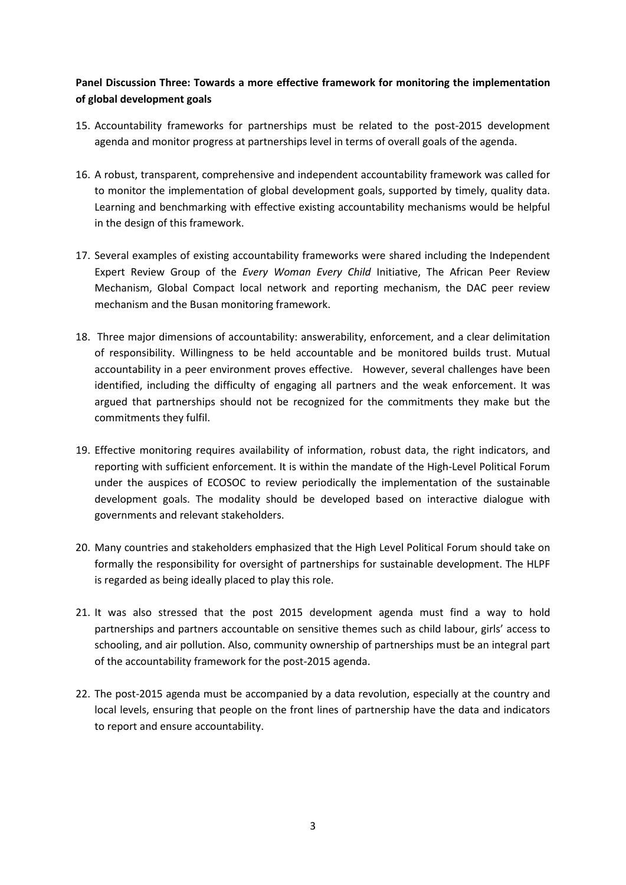## **Panel Discussion Three: Towards a more effective framework for monitoring the implementation of global development goals**

- 15. Accountability frameworks for partnerships must be related to the post-2015 development agenda and monitor progress at partnerships level in terms of overall goals of the agenda.
- 16. A robust, transparent, comprehensive and independent accountability framework was called for to monitor the implementation of global development goals, supported by timely, quality data. Learning and benchmarking with effective existing accountability mechanisms would be helpful in the design of this framework.
- 17. Several examples of existing accountability frameworks were shared including the Independent Expert Review Group of the *Every Woman Every Child* Initiative, The African Peer Review Mechanism, Global Compact local network and reporting mechanism, the DAC peer review mechanism and the Busan monitoring framework.
- 18. Three major dimensions of accountability: answerability, enforcement, and a clear delimitation of responsibility. Willingness to be held accountable and be monitored builds trust. Mutual accountability in a peer environment proves effective. However, several challenges have been identified, including the difficulty of engaging all partners and the weak enforcement. It was argued that partnerships should not be recognized for the commitments they make but the commitments they fulfil.
- 19. Effective monitoring requires availability of information, robust data, the right indicators, and reporting with sufficient enforcement. It is within the mandate of the High-Level Political Forum under the auspices of ECOSOC to review periodically the implementation of the sustainable development goals. The modality should be developed based on interactive dialogue with governments and relevant stakeholders.
- 20. Many countries and stakeholders emphasized that the High Level Political Forum should take on formally the responsibility for oversight of partnerships for sustainable development. The HLPF is regarded as being ideally placed to play this role.
- 21. It was also stressed that the post 2015 development agenda must find a way to hold partnerships and partners accountable on sensitive themes such as child labour, girls' access to schooling, and air pollution. Also, community ownership of partnerships must be an integral part of the accountability framework for the post-2015 agenda.
- 22. The post-2015 agenda must be accompanied by a data revolution, especially at the country and local levels, ensuring that people on the front lines of partnership have the data and indicators to report and ensure accountability.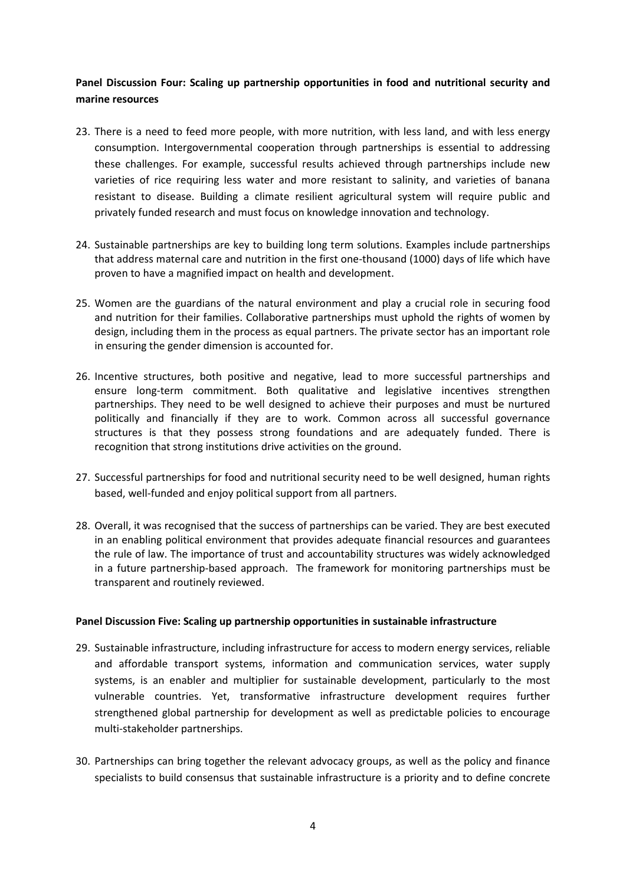### **Panel Discussion Four: Scaling up partnership opportunities in food and nutritional security and marine resources**

- 23. There is a need to feed more people, with more nutrition, with less land, and with less energy consumption. Intergovernmental cooperation through partnerships is essential to addressing these challenges. For example, successful results achieved through partnerships include new varieties of rice requiring less water and more resistant to salinity, and varieties of banana resistant to disease. Building a climate resilient agricultural system will require public and privately funded research and must focus on knowledge innovation and technology.
- 24. Sustainable partnerships are key to building long term solutions. Examples include partnerships that address maternal care and nutrition in the first one-thousand (1000) days of life which have proven to have a magnified impact on health and development.
- 25. Women are the guardians of the natural environment and play a crucial role in securing food and nutrition for their families. Collaborative partnerships must uphold the rights of women by design, including them in the process as equal partners. The private sector has an important role in ensuring the gender dimension is accounted for.
- 26. Incentive structures, both positive and negative, lead to more successful partnerships and ensure long-term commitment. Both qualitative and legislative incentives strengthen partnerships. They need to be well designed to achieve their purposes and must be nurtured politically and financially if they are to work. Common across all successful governance structures is that they possess strong foundations and are adequately funded. There is recognition that strong institutions drive activities on the ground.
- 27. Successful partnerships for food and nutritional security need to be well designed, human rights based, well-funded and enjoy political support from all partners.
- 28. Overall, it was recognised that the success of partnerships can be varied. They are best executed in an enabling political environment that provides adequate financial resources and guarantees the rule of law. The importance of trust and accountability structures was widely acknowledged in a future partnership-based approach. The framework for monitoring partnerships must be transparent and routinely reviewed.

#### **Panel Discussion Five: Scaling up partnership opportunities in sustainable infrastructure**

- 29. Sustainable infrastructure, including infrastructure for access to modern energy services, reliable and affordable transport systems, information and communication services, water supply systems, is an enabler and multiplier for sustainable development, particularly to the most vulnerable countries. Yet, transformative infrastructure development requires further strengthened global partnership for development as well as predictable policies to encourage multi-stakeholder partnerships.
- 30. Partnerships can bring together the relevant advocacy groups, as well as the policy and finance specialists to build consensus that sustainable infrastructure is a priority and to define concrete